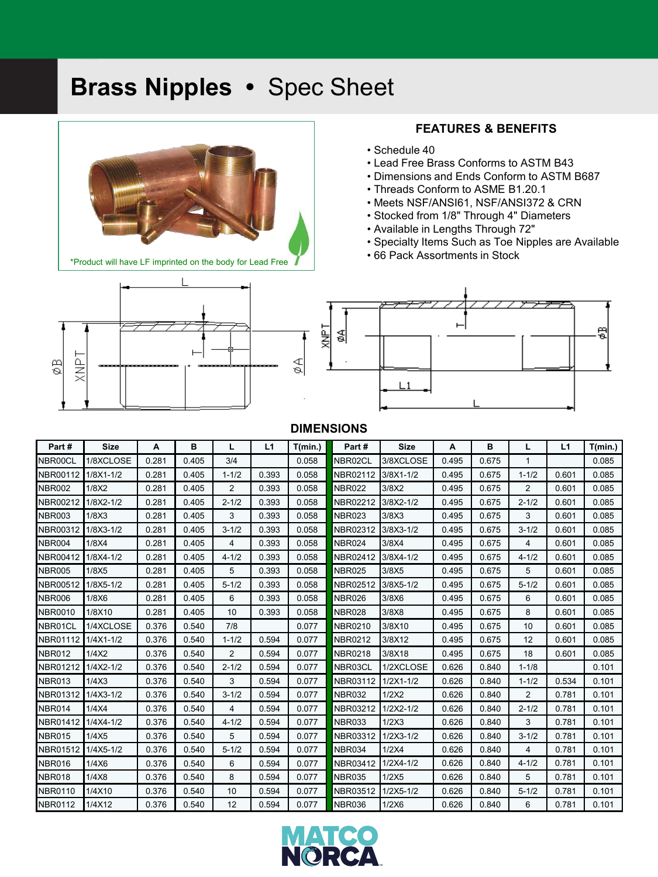# **Brass Nipples •** Spec Sheet



### **FEATURES & BENEFITS**

- Schedule 40
- Lead Free Brass Conforms to ASTM B43
- Dimensions and Ends Conform to ASTM B687
- Threads Conform to ASME B1.20.1
- Meets NSF/ANSI61, NSF/ANSI372 & CRN
- Stocked from 1/8" Through 4" Diameters
- Available in Lengths Through 72"
- Specialty Items Such as Toe Nipples are Available
- 66 Pack Assortments in Stock



## **DIMENSIONS**

| Part#          | <b>Size</b>   | A     | в     |                | L1    | T(min.) | Part#          | <b>Size</b>   | A     | в     | L              | L1    | T(min.) |
|----------------|---------------|-------|-------|----------------|-------|---------|----------------|---------------|-------|-------|----------------|-------|---------|
| NBR00CL        | 1/8XCLOSE     | 0.281 | 0.405 | 3/4            |       | 0.058   | NBR02CL        | 3/8XCLOSE     | 0.495 | 0.675 | 1              |       | 0.085   |
| NBR00112       | $1/8X1 - 1/2$ | 0.281 | 0.405 | $1 - 1/2$      | 0.393 | 0.058   | NBR02112       | $3/8X1 - 1/2$ | 0.495 | 0.675 | $1 - 1/2$      | 0.601 | 0.085   |
| <b>NBR002</b>  | 1/8X2         | 0.281 | 0.405 | $\overline{2}$ | 0.393 | 0.058   | <b>NBR022</b>  | 3/8X2         | 0.495 | 0.675 | $\overline{2}$ | 0.601 | 0.085   |
| NBR00212       | 1/8X2-1/2     | 0.281 | 0.405 | $2 - 1/2$      | 0.393 | 0.058   | NBR02212       | 3/8X2-1/2     | 0.495 | 0.675 | $2 - 1/2$      | 0.601 | 0.085   |
| <b>NBR003</b>  | 1/8X3         | 0.281 | 0.405 | 3              | 0.393 | 0.058   | <b>NBR023</b>  | 3/8X3         | 0.495 | 0.675 | 3              | 0.601 | 0.085   |
| NBR00312       | 1/8X3-1/2     | 0.281 | 0.405 | $3 - 1/2$      | 0.393 | 0.058   | NBR02312       | 3/8X3-1/2     | 0.495 | 0.675 | $3 - 1/2$      | 0.601 | 0.085   |
| NBR004         | 1/8X4         | 0.281 | 0.405 | 4              | 0.393 | 0.058   | <b>NBR024</b>  | 3/8X4         | 0.495 | 0.675 | 4              | 0.601 | 0.085   |
| NBR00412       | 1/8X4-1/2     | 0.281 | 0.405 | $4 - 1/2$      | 0.393 | 0.058   | NBR02412       | $3/8X4 - 1/2$ | 0.495 | 0.675 | $4 - 1/2$      | 0.601 | 0.085   |
| <b>NBR005</b>  | 1/8X5         | 0.281 | 0.405 | 5              | 0.393 | 0.058   | <b>NBR025</b>  | 3/8X5         | 0.495 | 0.675 | 5              | 0.601 | 0.085   |
| NBR00512       | 1/8X5-1/2     | 0.281 | 0.405 | $5 - 1/2$      | 0.393 | 0.058   | NBR02512       | 3/8X5-1/2     | 0.495 | 0.675 | $5 - 1/2$      | 0.601 | 0.085   |
| <b>NBR006</b>  | 1/8X6         | 0.281 | 0.405 | 6              | 0.393 | 0.058   | <b>NBR026</b>  | 3/8X6         | 0.495 | 0.675 | 6              | 0.601 | 0.085   |
| <b>NBR0010</b> | 1/8X10        | 0.281 | 0.405 | 10             | 0.393 | 0.058   | <b>NBR028</b>  | 3/8X8         | 0.495 | 0.675 | 8              | 0.601 | 0.085   |
| NBR01CL        | 1/4XCLOSE     | 0.376 | 0.540 | 7/8            |       | 0.077   | <b>NBR0210</b> | 3/8X10        | 0.495 | 0.675 | 10             | 0.601 | 0.085   |
| NBR01112       | $1/4X1 - 1/2$ | 0.376 | 0.540 | $1 - 1/2$      | 0.594 | 0.077   | <b>NBR0212</b> | 3/8X12        | 0.495 | 0.675 | 12             | 0.601 | 0.085   |
| <b>NBR012</b>  | 1/4X2         | 0.376 | 0.540 | 2              | 0.594 | 0.077   | <b>NBR0218</b> | 3/8X18        | 0.495 | 0.675 | 18             | 0.601 | 0.085   |
| NBR01212       | $1/4X2 - 1/2$ | 0.376 | 0.540 | $2 - 1/2$      | 0.594 | 0.077   | NBR03CL        | 1/2XCLOSE     | 0.626 | 0.840 | $1 - 1/8$      |       | 0.101   |
| <b>NBR013</b>  | 1/4X3         | 0.376 | 0.540 | 3              | 0.594 | 0.077   | NBR03112       | $1/2X1 - 1/2$ | 0.626 | 0.840 | $1 - 1/2$      | 0.534 | 0.101   |
| NBR01312       | $1/4X3 - 1/2$ | 0.376 | 0.540 | $3 - 1/2$      | 0.594 | 0.077   | NBR032         | 1/2X2         | 0.626 | 0.840 | 2              | 0.781 | 0.101   |
| NBR014         | 1/4X4         | 0.376 | 0.540 | 4              | 0.594 | 0.077   | NBR03212       | $1/2X2 - 1/2$ | 0.626 | 0.840 | $2 - 1/2$      | 0.781 | 0.101   |
| NBR01412       | $1/4X4 - 1/2$ | 0.376 | 0.540 | $4 - 1/2$      | 0.594 | 0.077   | <b>NBR033</b>  | 1/2X3         | 0.626 | 0.840 | 3              | 0.781 | 0.101   |
| <b>NBR015</b>  | 1/4X5         | 0.376 | 0.540 | 5              | 0.594 | 0.077   | NBR03312       | $1/2X3 - 1/2$ | 0.626 | 0.840 | $3 - 1/2$      | 0.781 | 0.101   |
| NBR01512       | $1/4X5-1/2$   | 0.376 | 0.540 | $5 - 1/2$      | 0.594 | 0.077   | <b>NBR034</b>  | 1/2X4         | 0.626 | 0.840 | 4              | 0.781 | 0.101   |
| NBR016         | 1/4X6         | 0.376 | 0.540 | 6              | 0.594 | 0.077   | NBR03412       | $1/2X4 - 1/2$ | 0.626 | 0.840 | $4 - 1/2$      | 0.781 | 0.101   |
| NBR018         | 1/4X8         | 0.376 | 0.540 | 8              | 0.594 | 0.077   | <b>NBR035</b>  | 1/2X5         | 0.626 | 0.840 | 5              | 0.781 | 0.101   |
| <b>NBR0110</b> | 1/4X10        | 0.376 | 0.540 | 10             | 0.594 | 0.077   | NBR03512       | $1/2X5-1/2$   | 0.626 | 0.840 | $5 - 1/2$      | 0.781 | 0.101   |
| <b>NBR0112</b> | 1/4X12        | 0.376 | 0.540 | 12             | 0.594 | 0.077   | <b>NBR036</b>  | 1/2X6         | 0.626 | 0.840 | 6              | 0.781 | 0.101   |

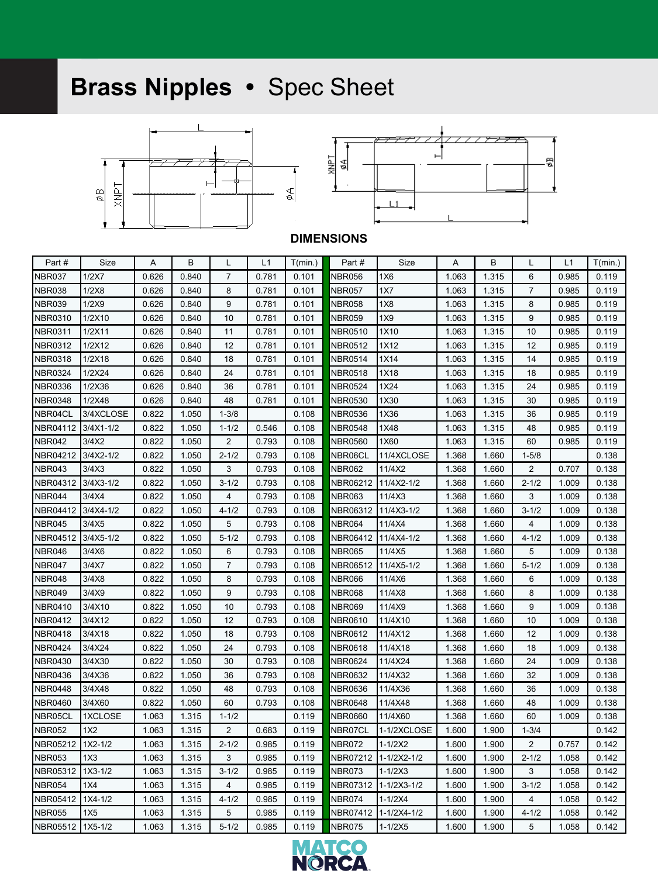# **Brass Nipples •** Spec Sheet





### **DIMENSIONS**

| Part #         | Size        | Α     | в     | L              | L1    | T(min.) | Part #         | Size        | A     | в     | L              | L1    | T(min.) |
|----------------|-------------|-------|-------|----------------|-------|---------|----------------|-------------|-------|-------|----------------|-------|---------|
| NBR037         | 1/2X7       | 0.626 | 0.840 | $\overline{7}$ | 0.781 | 0.101   | NBR056         | 1X6         | 1.063 | 1.315 | 6              | 0.985 | 0.119   |
| NBR038         | 1/2X8       | 0.626 | 0.840 | 8              | 0.781 | 0.101   | <b>NBR057</b>  | 1X7         | 1.063 | 1.315 | $\overline{7}$ | 0.985 | 0.119   |
| <b>NBR039</b>  | 1/2X9       | 0.626 | 0.840 | 9              | 0.781 | 0.101   | <b>NBR058</b>  | 1X8         | 1.063 | 1.315 | 8              | 0.985 | 0.119   |
| NBR0310        | 1/2X10      | 0.626 | 0.840 | 10             | 0.781 | 0.101   | <b>NBR059</b>  | 1X9         | 1.063 | 1.315 | 9              | 0.985 | 0.119   |
| <b>NBR0311</b> | 1/2X11      | 0.626 | 0.840 | 11             | 0.781 | 0.101   | <b>NBR0510</b> | 1X10        | 1.063 | 1.315 | 10             | 0.985 | 0.119   |
| <b>NBR0312</b> | 1/2X12      | 0.626 | 0.840 | 12             | 0.781 | 0.101   | <b>NBR0512</b> | 1X12        | 1.063 | 1.315 | 12             | 0.985 | 0.119   |
| <b>NBR0318</b> | 1/2X18      | 0.626 | 0.840 | 18             | 0.781 | 0.101   | <b>NBR0514</b> | 1X14        | 1.063 | 1.315 | 14             | 0.985 | 0.119   |
| <b>NBR0324</b> | 1/2X24      | 0.626 | 0.840 | 24             | 0.781 | 0.101   | <b>NBR0518</b> | 1X18        | 1.063 | 1.315 | 18             | 0.985 | 0.119   |
| <b>NBR0336</b> | 1/2X36      | 0.626 | 0.840 | 36             | 0.781 | 0.101   | <b>NBR0524</b> | 1X24        | 1.063 | 1.315 | 24             | 0.985 | 0.119   |
| <b>NBR0348</b> | 1/2X48      | 0.626 | 0.840 | 48             | 0.781 | 0.101   | <b>NBR0530</b> | 1X30        | 1.063 | 1.315 | 30             | 0.985 | 0.119   |
| NBR04CL        | 3/4XCLOSE   | 0.822 | 1.050 | $1 - 3/8$      |       | 0.108   | <b>NBR0536</b> | 1X36        | 1.063 | 1.315 | 36             | 0.985 | 0.119   |
| NBR04112       | 3/4X1-1/2   | 0.822 | 1.050 | $1 - 1/2$      | 0.546 | 0.108   | <b>NBR0548</b> | 1X48        | 1.063 | 1.315 | 48             | 0.985 | 0.119   |
| <b>NBR042</b>  | 3/4X2       | 0.822 | 1.050 | $\overline{2}$ | 0.793 | 0.108   | <b>NBR0560</b> | 1X60        | 1.063 | 1.315 | 60             | 0.985 | 0.119   |
| NBR04212       | 3/4X2-1/2   | 0.822 | 1.050 | $2 - 1/2$      | 0.793 | 0.108   | NBR06CL        | 11/4XCLOSE  | 1.368 | 1.660 | $1 - 5/8$      |       | 0.138   |
| NBR043         | 3/4X3       | 0.822 | 1.050 | 3              | 0.793 | 0.108   | <b>NBR062</b>  | 11/4X2      | 1.368 | 1.660 | $\overline{2}$ | 0.707 | 0.138   |
| NBR04312       | 3/4X3-1/2   | 0.822 | 1.050 | $3 - 1/2$      | 0.793 | 0.108   | NBR06212       | 11/4X2-1/2  | 1.368 | 1.660 | $2 - 1/2$      | 1.009 | 0.138   |
| <b>NBR044</b>  | 3/4X4       | 0.822 | 1.050 | 4              | 0.793 | 0.108   | <b>NBR063</b>  | 11/4X3      | 1.368 | 1.660 | 3              | 1.009 | 0.138   |
| NBR04412       | 3/4X4-1/2   | 0.822 | 1.050 | $4 - 1/2$      | 0.793 | 0.108   | NBR06312       | 11/4X3-1/2  | 1.368 | 1.660 | $3 - 1/2$      | 1.009 | 0.138   |
| NBR045         | 3/4X5       | 0.822 | 1.050 | 5              | 0.793 | 0.108   | <b>NBR064</b>  | 11/4X4      | 1.368 | 1.660 | 4              | 1.009 | 0.138   |
| NBR04512       | 3/4X5-1/2   | 0.822 | 1.050 | $5 - 1/2$      | 0.793 | 0.108   | NBR06412       | 11/4X4-1/2  | 1.368 | 1.660 | $4 - 1/2$      | 1.009 | 0.138   |
| NBR046         | 3/4X6       | 0.822 | 1.050 | 6              | 0.793 | 0.108   | <b>NBR065</b>  | 11/4X5      | 1.368 | 1.660 | 5              | 1.009 | 0.138   |
| NBR047         | 3/4X7       | 0.822 | 1.050 | $\overline{7}$ | 0.793 | 0.108   | NBR06512       | 11/4X5-1/2  | 1.368 | 1.660 | $5 - 1/2$      | 1.009 | 0.138   |
| NBR048         | 3/4X8       | 0.822 | 1.050 | 8              | 0.793 | 0.108   | <b>NBR066</b>  | 11/4X6      | 1.368 | 1.660 | 6              | 1.009 | 0.138   |
| <b>NBR049</b>  | 3/4X9       | 0.822 | 1.050 | 9              | 0.793 | 0.108   | <b>NBR068</b>  | 11/4X8      | 1.368 | 1.660 | 8              | 1.009 | 0.138   |
| <b>NBR0410</b> | 3/4X10      | 0.822 | 1.050 | 10             | 0.793 | 0.108   | <b>NBR069</b>  | 11/4X9      | 1.368 | 1.660 | 9              | 1.009 | 0.138   |
| <b>NBR0412</b> | 3/4X12      | 0.822 | 1.050 | 12             | 0.793 | 0.108   | <b>NBR0610</b> | 11/4X10     | 1.368 | 1.660 | 10             | 1.009 | 0.138   |
| <b>NBR0418</b> | 3/4X18      | 0.822 | 1.050 | 18             | 0.793 | 0.108   | <b>NBR0612</b> | 11/4X12     | 1.368 | 1.660 | 12             | 1.009 | 0.138   |
| <b>NBR0424</b> | 3/4X24      | 0.822 | 1.050 | 24             | 0.793 | 0.108   | <b>NBR0618</b> | 11/4X18     | 1.368 | 1.660 | 18             | 1.009 | 0.138   |
| <b>NBR0430</b> | 3/4X30      | 0.822 | 1.050 | 30             | 0.793 | 0.108   | <b>NBR0624</b> | 11/4X24     | 1.368 | 1.660 | 24             | 1.009 | 0.138   |
| <b>NBR0436</b> | 3/4X36      | 0.822 | 1.050 | 36             | 0.793 | 0.108   | <b>NBR0632</b> | 11/4X32     | 1.368 | 1.660 | 32             | 1.009 | 0.138   |
| <b>NBR0448</b> | 3/4X48      | 0.822 | 1.050 | 48             | 0.793 | 0.108   | <b>NBR0636</b> | 11/4X36     | 1.368 | 1.660 | 36             | 1.009 | 0.138   |
| <b>NBR0460</b> | 3/4X60      | 0.822 | 1.050 | 60             | 0.793 | 0.108   | <b>NBR0648</b> | 11/4X48     | 1.368 | 1.660 | 48             | 1.009 | 0.138   |
| NBR05CL        | 1XCLOSE     | 1.063 | 1.315 | $1 - 1/2$      |       | 0.119   | <b>NBR0660</b> | 11/4X60     | 1.368 | 1.660 | 60             | 1.009 | 0.138   |
| <b>NBR052</b>  | 1X2         | 1.063 | 1.315 | $\overline{2}$ | 0.683 | 0.119   | NBR07CL        | 1-1/2XCLOSE | 1.600 | 1.900 | $1 - 3/4$      |       | 0.142   |
| NBR05212       | $1X2 - 1/2$ | 1.063 | 1.315 | $2 - 1/2$      | 0.985 | 0.119   | <b>NBR072</b>  | $1 - 1/2X2$ | 1.600 | 1.900 | 2              | 0.757 | 0.142   |
| <b>NBR053</b>  | 1X3         | 1.063 | 1.315 | 3              | 0.985 | 0.119   | NBR07212       | 1-1/2X2-1/2 | 1.600 | 1.900 | $2 - 1/2$      | 1.058 | 0.142   |
| NBR05312       | $1X3-1/2$   | 1.063 | 1.315 | $3 - 1/2$      | 0.985 | 0.119   | NBR073         | $1 - 1/2X3$ | 1.600 | 1.900 | 3              | 1.058 | 0.142   |
| <b>NBR054</b>  | 1X4         | 1.063 | 1.315 | 4              | 0.985 | 0.119   | NBR07312       | 1-1/2X3-1/2 | 1.600 | 1.900 | $3 - 1/2$      | 1.058 | 0.142   |
| NBR05412       | $1X4 - 1/2$ | 1.063 | 1.315 | $4 - 1/2$      | 0.985 | 0.119   | <b>NBR074</b>  | $1 - 1/2X4$ | 1.600 | 1.900 | 4              | 1.058 | 0.142   |
| <b>NBR055</b>  | 1X5         | 1.063 | 1.315 | 5              | 0.985 | 0.119   | NBR07412       | 1-1/2X4-1/2 | 1.600 | 1.900 | $4 - 1/2$      | 1.058 | 0.142   |
| NBR05512       | $1X5 - 1/2$ | 1.063 | 1.315 | $5 - 1/2$      | 0.985 | 0.119   | <b>NBR075</b>  | $1 - 1/2X5$ | 1.600 | 1.900 | 5              | 1.058 | 0.142   |